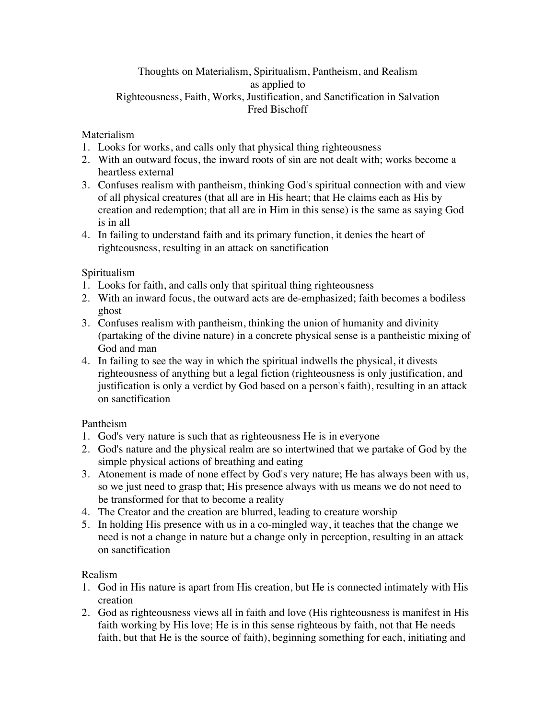### Thoughts on Materialism, Spiritualism, Pantheism, and Realism as applied to Righteousness, Faith, Works, Justification, and Sanctification in Salvation Fred Bischoff

### Materialism

- 1. Looks for works, and calls only that physical thing righteousness
- 2. With an outward focus, the inward roots of sin are not dealt with; works become a heartless external
- 3. Confuses realism with pantheism, thinking God's spiritual connection with and view of all physical creatures (that all are in His heart; that He claims each as His by creation and redemption; that all are in Him in this sense) is the same as saying God is in all
- 4. In failing to understand faith and its primary function, it denies the heart of righteousness, resulting in an attack on sanctification

### Spiritualism

- 1. Looks for faith, and calls only that spiritual thing righteousness
- 2. With an inward focus, the outward acts are de-emphasized; faith becomes a bodiless ghost
- 3. Confuses realism with pantheism, thinking the union of humanity and divinity (partaking of the divine nature) in a concrete physical sense is a pantheistic mixing of God and man
- 4. In failing to see the way in which the spiritual indwells the physical, it divests righteousness of anything but a legal fiction (righteousness is only justification, and justification is only a verdict by God based on a person's faith), resulting in an attack on sanctification

# Pantheism

- 1. God's very nature is such that as righteousness He is in everyone
- 2. God's nature and the physical realm are so intertwined that we partake of God by the simple physical actions of breathing and eating
- 3. Atonement is made of none effect by God's very nature; He has always been with us, so we just need to grasp that; His presence always with us means we do not need to be transformed for that to become a reality
- 4. The Creator and the creation are blurred, leading to creature worship
- 5. In holding His presence with us in a co-mingled way, it teaches that the change we need is not a change in nature but a change only in perception, resulting in an attack on sanctification

# Realism

- 1. God in His nature is apart from His creation, but He is connected intimately with His creation
- 2. God as righteousness views all in faith and love (His righteousness is manifest in His faith working by His love; He is in this sense righteous by faith, not that He needs faith, but that He is the source of faith), beginning something for each, initiating and